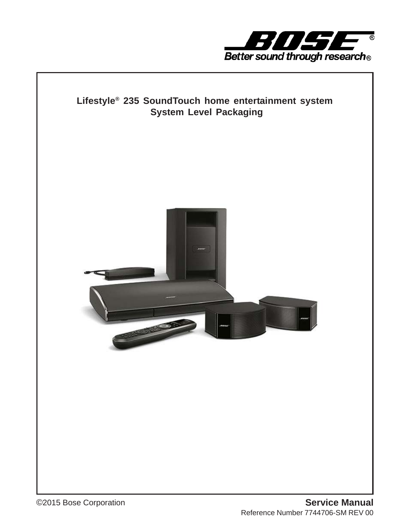

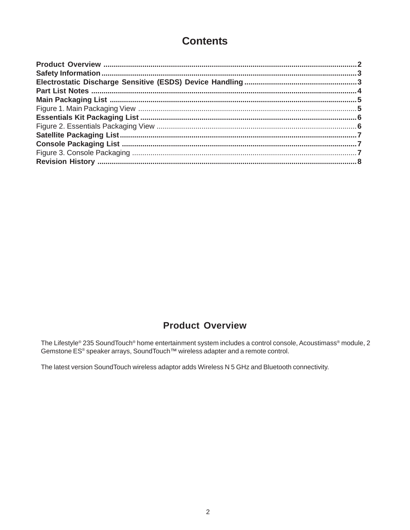#### **Contents**

#### **Product Overview**

The Lifestyle® 235 Sound Touch® home entertainment system includes a control console, Acoustimass® module, 2 Gemstone ES® speaker arrays, SoundTouch™ wireless adapter and a remote control.

The latest version SoundTouch wireless adaptor adds Wireless N 5 GHz and Bluetooth connectivity.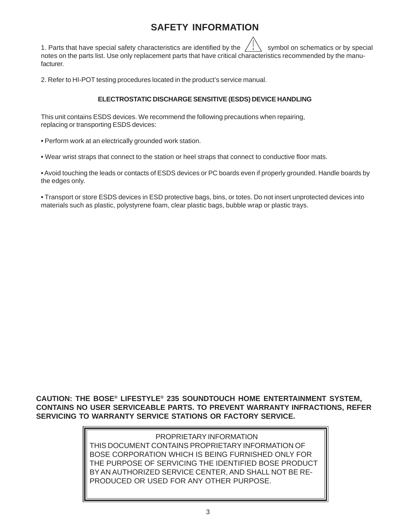### **SAFETY INFORMATION**

1. Parts that have special safety characteristics are identified by the  $\frac{1}{2}$  symbol on schematics or by special notes on the parts list. Use only replacement parts that have critical characteristics recommended by the manufacturer.

2. Refer to HI-POT testing procedures located in the product's service manual.

#### **ELECTROSTATIC DISCHARGE SENSITIVE (ESDS) DEVICE HANDLING**

This unit contains ESDS devices. We recommend the following precautions when repairing, replacing or transporting ESDS devices:

**•** Perform work at an electrically grounded work station.

**•** Wear wrist straps that connect to the station or heel straps that connect to conductive floor mats.

**•** Avoid touching the leads or contacts of ESDS devices or PC boards even if properly grounded. Handle boards by the edges only.

**•** Transport or store ESDS devices in ESD protective bags, bins, or totes. Do not insert unprotected devices into materials such as plastic, polystyrene foam, clear plastic bags, bubble wrap or plastic trays.

**CAUTION: THE BOSE® LIFESTYLE® 235 SOUNDTOUCH HOME ENTERTAINMENT SYSTEM, CONTAINS NO USER SERVICEABLE PARTS. TO PREVENT WARRANTY INFRACTIONS, REFER SERVICING TO WARRANTY SERVICE STATIONS OR FACTORY SERVICE.**

> PROPRIETARY INFORMATION THIS DOCUMENT CONTAINS PROPRIETARY INFORMATION OF BOSE CORPORATION WHICH IS BEING FURNISHED ONLY FOR THE PURPOSE OF SERVICING THE IDENTIFIED BOSE PRODUCT BY AN AUTHORIZED SERVICE CENTER, AND SHALL NOT BE RE-PRODUCED OR USED FOR ANY OTHER PURPOSE.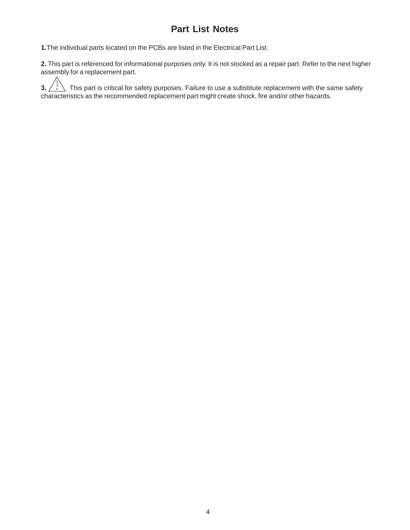#### **Part List Notes**

**1.**The individual parts located on the PCBs are listed in the Electrical Part List.

**2.** This part is referenced for informational purposes only. It is not stocked as a repair part. Refer to the next higher assembly for a replacement part.

**3.**  $\prime$   $\cdot$   $\setminus$  This part is critical for safety purposes. Failure to use a substitute replacement with the same safety characteristics as the recommended replacement part might create shock, fire and/or other hazards.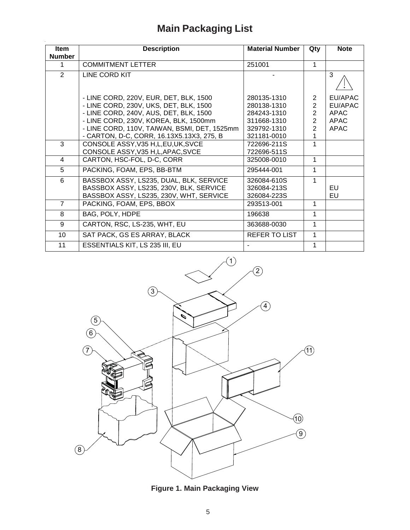# **Main Packaging List**

 $\hat{\boldsymbol{\theta}}$ 

| Item<br><b>Number</b> | <b>Description</b><br><b>Material Number</b> |               | Qty            | <b>Note</b> |  |
|-----------------------|----------------------------------------------|---------------|----------------|-------------|--|
| 1                     | <b>COMMITMENT LETTER</b>                     | 251001        | 1              |             |  |
| 2                     | LINE CORD KIT                                |               |                | 3           |  |
|                       | - LINE CORD, 220V, EUR, DET, BLK, 1500       | 280135-1310   | $\overline{2}$ | EU/APAC     |  |
|                       | - LINE CORD, 230V, UKS, DET, BLK, 1500       | 280138-1310   | $\overline{2}$ | EU/APAC     |  |
|                       | - LINE CORD, 240V, AUS, DET, BLK, 1500       | 284243-1310   | $\overline{2}$ | <b>APAC</b> |  |
|                       | - LINE CORD, 230V, KOREA, BLK, 1500mm        | 311668-1310   | $\overline{2}$ | APAC        |  |
|                       | - LINE CORD, 110V, TAIWAN, BSMI, DET, 1525mm | 329792-1310   | $\overline{2}$ | <b>APAC</b> |  |
|                       | - CARTON, D-C, CORR, 16.13X5.13X3, 275, B    | 321181-0010   |                |             |  |
| 3                     | CONSOLE ASSY, V35 H, L, EU, UK, SVCE         | 722696-211S   | 1              |             |  |
|                       | CONSOLE ASSY, V35 H, L, APAC, SVCE           | 722696-511S   |                |             |  |
| 4                     | CARTON, HSC-FOL, D-C, CORR                   | 325008-0010   | 1              |             |  |
| 5                     | PACKING, FOAM, EPS, BB-BTM                   | 295444-001    | 1              |             |  |
| 6                     | BASSBOX ASSY, LS235, DUAL, BLK, SERVICE      | 326084-610S   | 1              |             |  |
|                       | BASSBOX ASSY, LS235, 230V, BLK, SERVICE      | 326084-213S   |                | EU          |  |
|                       | BASSBOX ASSY, LS235, 230V, WHT, SERVICE      | 326084-223S   |                | EU          |  |
| $\overline{7}$        | PACKING, FOAM, EPS, BBOX                     | 293513-001    | 1              |             |  |
| 8                     | BAG, POLY, HDPE                              | 196638        | 1              |             |  |
| 9                     | CARTON, RSC, LS-235, WHT, EU                 | 363688-0030   | 1              |             |  |
| 10                    | SAT PACK, GS ES ARRAY, BLACK                 | REFER TO LIST | 1              |             |  |
| 11                    | ESSENTIALS KIT, LS 235 III, EU               |               | 1              |             |  |



**Figure 1. Main Packaging View**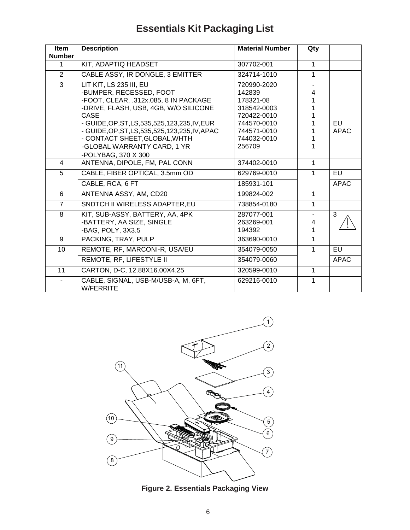# **Essentials Kit Packaging List**

| <b>Item</b>    | <b>Description</b>                                      | <b>Material Number</b> |              |             |
|----------------|---------------------------------------------------------|------------------------|--------------|-------------|
| <b>Number</b>  |                                                         |                        |              |             |
| 1              | KIT, ADAPTIQ HEADSET                                    | 307702-001             | 1            |             |
| $\overline{2}$ | CABLE ASSY, IR DONGLE, 3 EMITTER                        | 324714-1010            | 1            |             |
| 3              | LIT KIT, LS 235 III, EU                                 | 720990-2020            |              |             |
|                | -BUMPER, RECESSED, FOOT                                 | 142839                 | 4            |             |
|                | -FOOT, CLEAR, .312x.085, 8 IN PACKAGE                   | 178321-08              |              |             |
|                | -DRIVE, FLASH, USB, 4GB, W/O SILICONE                   | 318542-0003            |              |             |
|                | <b>CASE</b>                                             | 720422-0010            |              |             |
|                | - GUIDE, OP, ST, LS, 535, 525, 123, 235, IV, EUR        | 744570-0010            |              | EU          |
|                | - GUIDE, OP, ST, LS, 535, 525, 123, 235, IV, APAC       | 744571-0010            |              | <b>APAC</b> |
|                | - CONTACT SHEET, GLOBAL, WHTH                           | 744032-0010            |              |             |
|                | -GLOBAL WARRANTY CARD, 1 YR                             | 256709                 |              |             |
|                | -POLYBAG, 370 X 300                                     |                        |              |             |
| $\overline{4}$ | ANTENNA, DIPOLE, FM, PAL CONN                           | 374402-0010            | 1            |             |
| 5              | CABLE, FIBER OPTICAL, 3.5mm OD                          | 629769-0010            | 1            | <b>EU</b>   |
|                | CABLE, RCA, 6 FT                                        | 185931-101             |              | <b>APAC</b> |
| 6              | ANTENNA ASSY, AM, CD20                                  | 199824-002             | 1            |             |
| $\overline{7}$ | SNDTCH II WIRELESS ADAPTER, EU                          | 738854-0180            | 1            |             |
| 8              | KIT, SUB-ASSY, BATTERY, AA, 4PK                         | 287077-001             |              | 3           |
|                | -BATTERY, AA SIZE, SINGLE                               | 263269-001             | 4            |             |
|                | -BAG, POLY, 3X3.5                                       | 194392                 | 1            |             |
| 9              | PACKING, TRAY, PULP                                     | 363690-0010            | 1            |             |
| 10             | REMOTE, RF, MARCONI-R, USA/EU                           | 354079-0050            | 1            | EU          |
|                | REMOTE, RF, LIFESTYLE II                                | 354079-0060            |              | <b>APAC</b> |
| 11             | CARTON, D-C, 12.88X16.00X4.25                           | 320599-0010            | $\mathbf{1}$ |             |
|                | CABLE, SIGNAL, USB-M/USB-A, M, 6FT,<br><b>W/FERRITE</b> | 629216-0010            | 1            |             |



**Figure 2. Essentials Packaging View**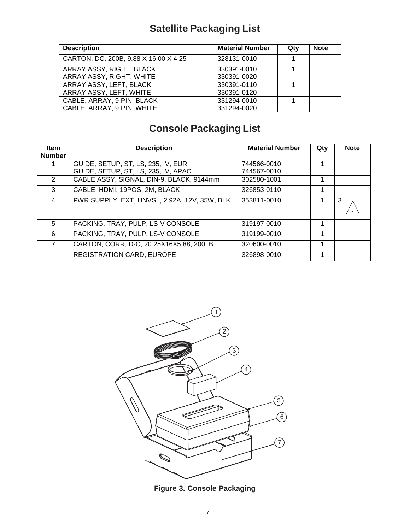# **Satellite Packaging List**

| <b>Description</b>                    | <b>Material Number</b> | Qty | <b>Note</b> |
|---------------------------------------|------------------------|-----|-------------|
| CARTON, DC, 200B, 9.88 X 16.00 X 4.25 | 328131-0010            |     |             |
| ARRAY ASSY, RIGHT, BLACK              | 330391-0010            |     |             |
| ARRAY ASSY, RIGHT, WHITE              | 330391-0020            |     |             |
| ARRAY ASSY, LEFT, BLACK               | 330391-0110            |     |             |
| ARRAY ASSY, LEFT, WHITE               | 330391-0120            |     |             |
| CABLE, ARRAY, 9 PIN, BLACK            | 331294-0010            |     |             |
| CABLE, ARRAY, 9 PIN, WHITE            | 331294-0020            |     |             |

# **Console Packaging List**

| <b>Item</b><br><b>Number</b> | <b>Description</b>                           | <b>Material Number</b> | Qty | <b>Note</b> |
|------------------------------|----------------------------------------------|------------------------|-----|-------------|
|                              | GUIDE, SETUP, ST, LS, 235, IV, EUR           | 744566-0010            | 1   |             |
|                              | GUIDE, SETUP, ST, LS, 235, IV, APAC          | 744567-0010            |     |             |
| $\mathcal{P}$                | CABLE ASSY, SIGNAL, DIN-9, BLACK, 9144mm     | 302580-1001            |     |             |
| 3                            | CABLE, HDMI, 19POS, 2M, BLACK                | 326853-0110            | 1   |             |
| 4                            | PWR SUPPLY, EXT, UNVSL, 2.92A, 12V, 35W, BLK | 353811-0010            |     | 3           |
| 5                            | PACKING, TRAY, PULP, LS-V CONSOLE            | 319197-0010            | 1   |             |
| 6                            | PACKING, TRAY, PULP, LS-V CONSOLE            | 319199-0010            |     |             |
|                              | CARTON, CORR, D-C, 20.25X16X5.88, 200, B     | 320600-0010            | 1   |             |
|                              | <b>REGISTRATION CARD, EUROPE</b>             | 326898-0010            |     |             |



**Figure 3. Console Packaging**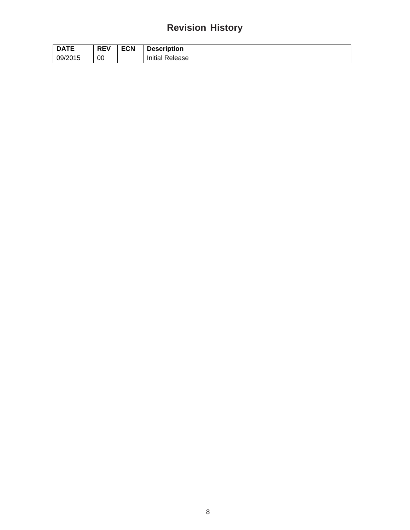## **Revision History**

| <b>DATE</b> | <b>REV</b> | <b>ECN</b> | <b>Description</b>     |
|-------------|------------|------------|------------------------|
| 09/2015     | 00         |            | <b>Initial Release</b> |